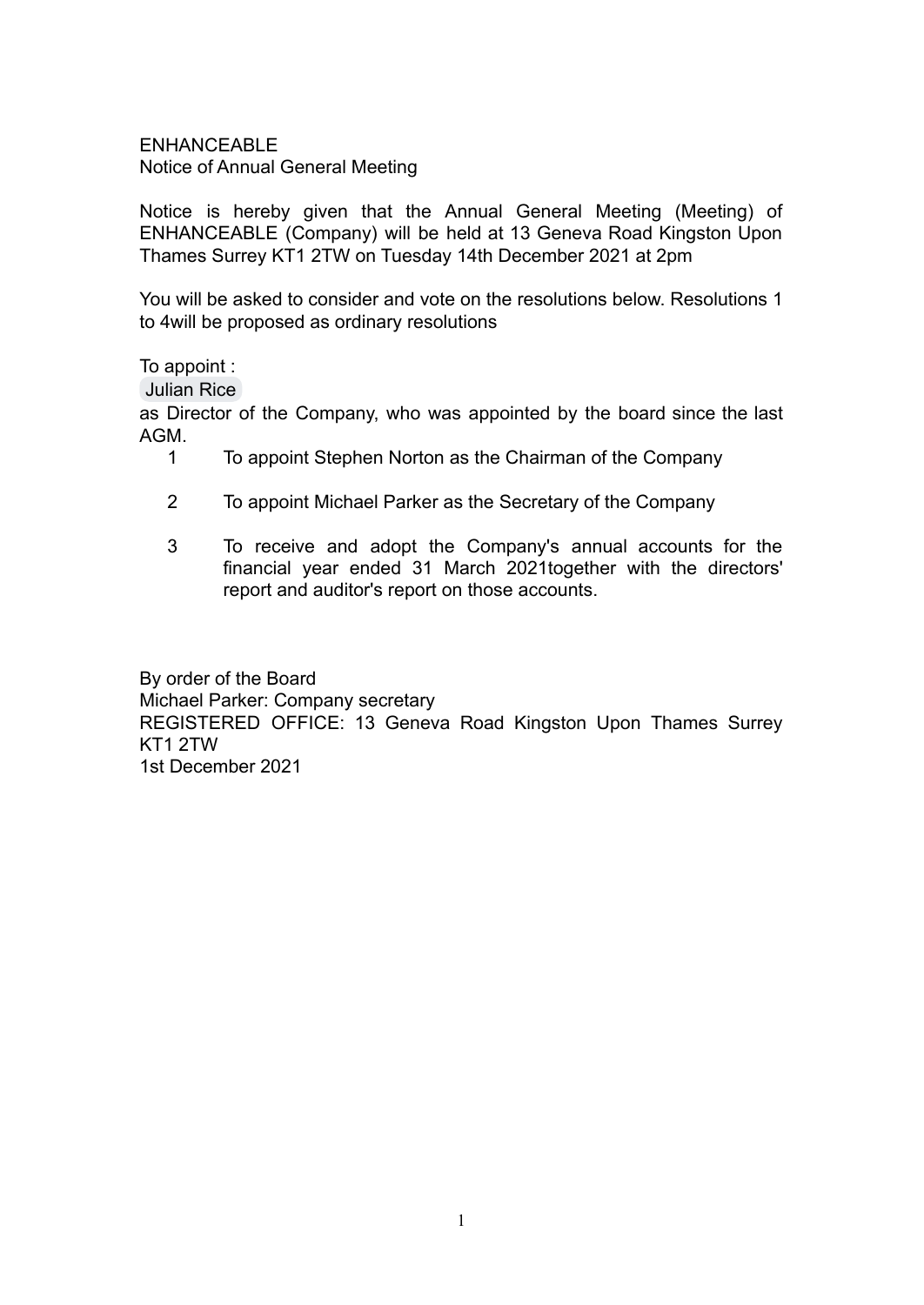ENHANCEABLE Notice of Annual General Meeting

Notice is hereby given that the Annual General Meeting (Meeting) of ENHANCEABLE (Company) will be held at 13 Geneva Road Kingston Upon Thames Surrey KT1 2TW on Tuesday 14th December 2021 at 2pm

You will be asked to consider and vote on the resolutions below. Resolutions 1 to 4will be proposed as ordinary resolutions

To appoint :

[Julian Rice](mailto:julian.rice@enhanceable.org)

as Director of the Company, who was appointed by the board since the last AGM.

- 1 To appoint Stephen Norton as the Chairman of the Company
- 2 To appoint Michael Parker as the Secretary of the Company
- 3 To receive and adopt the Company's annual accounts for the financial year ended 31 March 2021together with the directors' report and auditor's report on those accounts.

By order of the Board Michael Parker: Company secretary REGISTERED OFFICE: 13 Geneva Road Kingston Upon Thames Surrey KT1 2TW 1st December 2021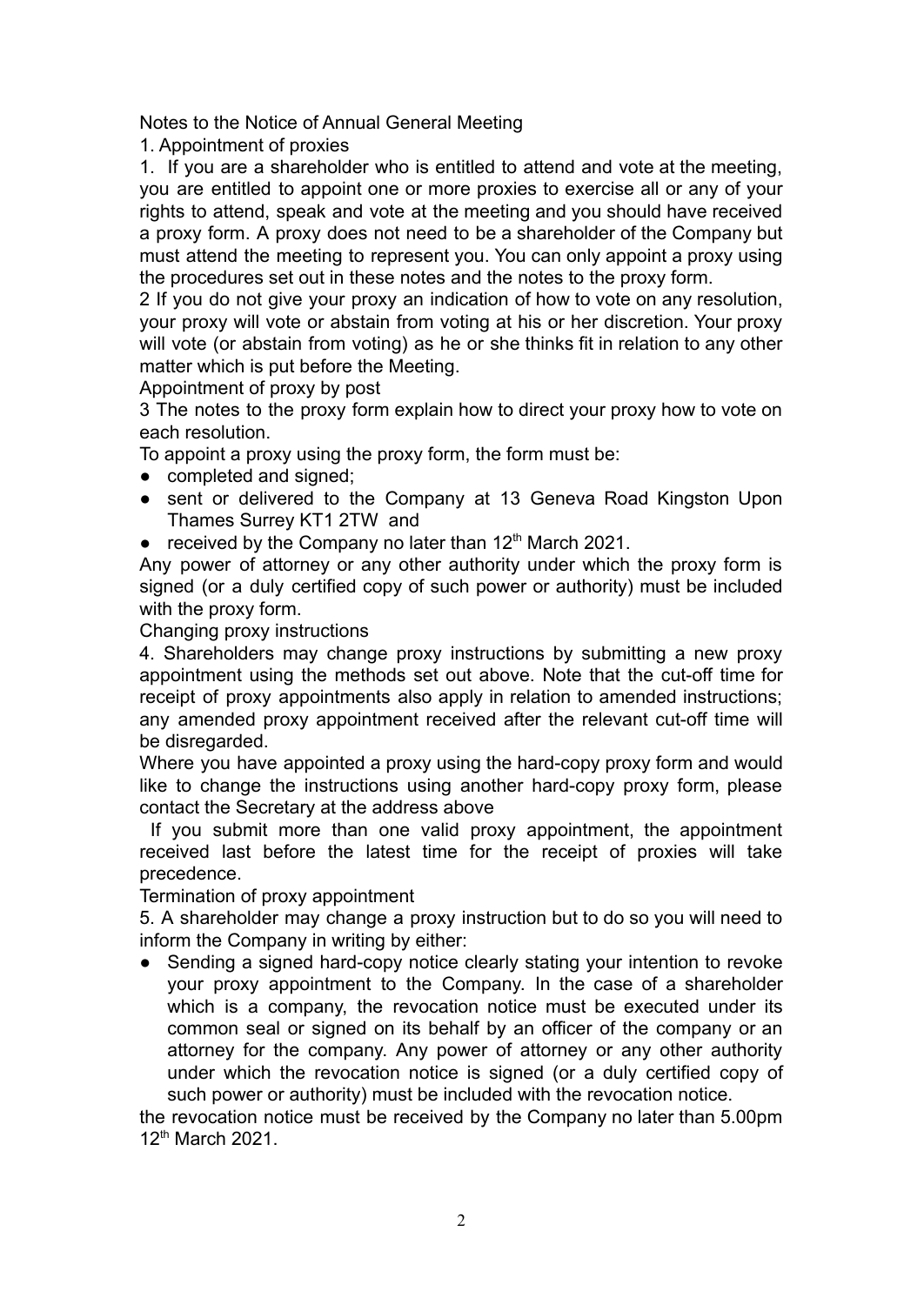Notes to the Notice of Annual General Meeting

1. Appointment of proxies

1. If you are a shareholder who is entitled to attend and vote at the meeting, you are entitled to appoint one or more proxies to exercise all or any of your rights to attend, speak and vote at the meeting and you should have received a proxy form. A proxy does not need to be a shareholder of the Company but must attend the meeting to represent you. You can only appoint a proxy using the procedures set out in these notes and the notes to the proxy form.

2 If you do not give your proxy an indication of how to vote on any resolution, your proxy will vote or abstain from voting at his or her discretion. Your proxy will vote (or abstain from voting) as he or she thinks fit in relation to any other matter which is put before the Meeting.

Appointment of proxy by post

3 The notes to the proxy form explain how to direct your proxy how to vote on each resolution.

To appoint a proxy using the proxy form, the form must be:

- completed and signed:
- sent or delivered to the Company at 13 Geneva Road Kingston Upon Thames Surrey KT1 2TW and
- $\bullet$  received by the Company no later than 12<sup>th</sup> March 2021.

Any power of attorney or any other authority under which the proxy form is signed (or a duly certified copy of such power or authority) must be included with the proxy form.

Changing proxy instructions

4. Shareholders may change proxy instructions by submitting a new proxy appointment using the methods set out above. Note that the cut-off time for receipt of proxy appointments also apply in relation to amended instructions; any amended proxy appointment received after the relevant cut-off time will be disregarded.

Where you have appointed a proxy using the hard-copy proxy form and would like to change the instructions using another hard-copy proxy form, please contact the Secretary at the address above

If you submit more than one valid proxy appointment, the appointment received last before the latest time for the receipt of proxies will take precedence.

Termination of proxy appointment

5. A shareholder may change a proxy instruction but to do so you will need to inform the Company in writing by either:

• Sending a signed hard-copy notice clearly stating your intention to revoke your proxy appointment to the Company. In the case of a shareholder which is a company, the revocation notice must be executed under its common seal or signed on its behalf by an officer of the company or an attorney for the company. Any power of attorney or any other authority under which the revocation notice is signed (or a duly certified copy of such power or authority) must be included with the revocation notice.

the revocation notice must be received by the Company no later than 5.00pm 12<sup>th</sup> March 2021.